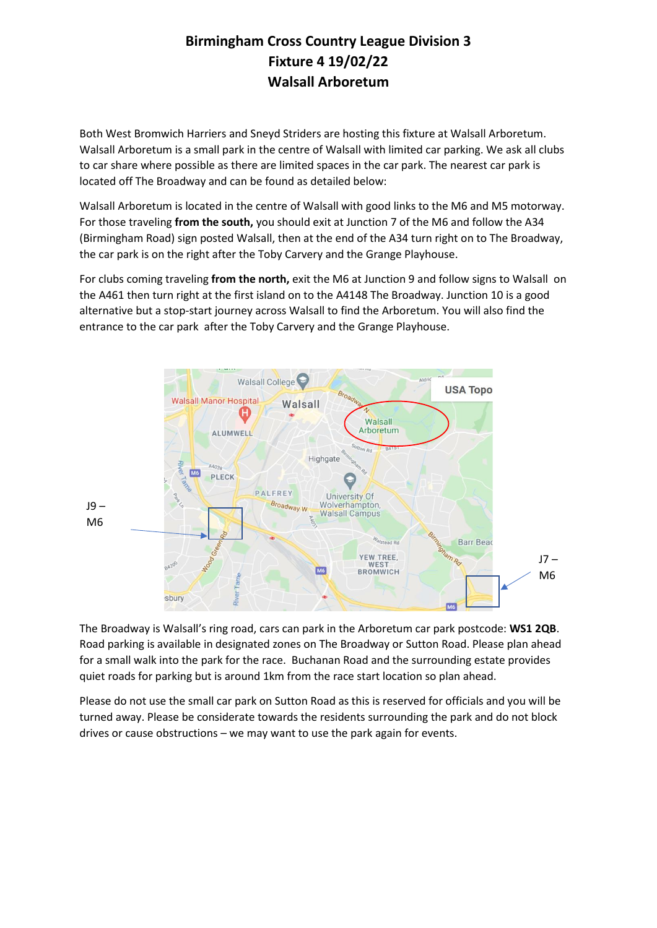## **Birmingham Cross Country League Division 3 Fixture 4 19/02/22 Walsall Arboretum**

Both West Bromwich Harriers and Sneyd Striders are hosting this fixture at Walsall Arboretum. Walsall Arboretum is a small park in the centre of Walsall with limited car parking. We ask all clubs to car share where possible as there are limited spaces in the car park. The nearest car park is located off The Broadway and can be found as detailed below:

Walsall Arboretum is located in the centre of Walsall with good links to the M6 and M5 motorway. For those traveling **from the south,** you should exit at Junction 7 of the M6 and follow the A34 (Birmingham Road) sign posted Walsall, then at the end of the A34 turn right on to The Broadway, the car park is on the right after the Toby Carvery and the Grange Playhouse.

For clubs coming traveling **from the north,** exit the M6 at Junction 9 and follow signs to Walsall on the A461 then turn right at the first island on to the A4148 The Broadway. Junction 10 is a good alternative but a stop-start journey across Walsall to find the Arboretum. You will also find the entrance to the car park after the Toby Carvery and the Grange Playhouse.



The Broadway is Walsall's ring road, cars can park in the Arboretum car park postcode: **WS1 2QB**. Road parking is available in designated zones on The Broadway or Sutton Road. Please plan ahead for a small walk into the park for the race. Buchanan Road and the surrounding estate provides quiet roads for parking but is around 1km from the race start location so plan ahead.

Please do not use the small car park on Sutton Road as this is reserved for officials and you will be turned away. Please be considerate towards the residents surrounding the park and do not block drives or cause obstructions – we may want to use the park again for events.